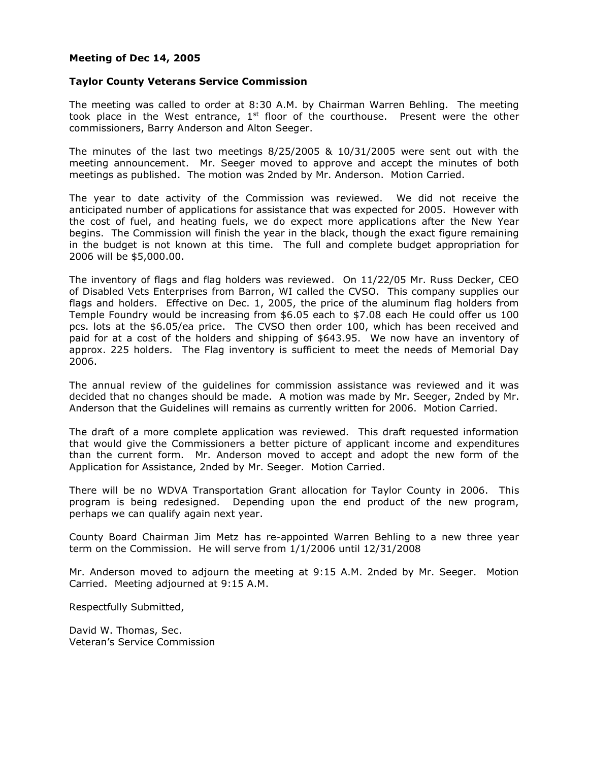## **Meeting of Dec 14, 2005**

#### **Taylor County Veterans Service Commission**

The meeting was called to order at 8:30 A.M. by Chairman Warren Behling. The meeting took place in the West entrance,  $1<sup>st</sup>$  floor of the courthouse. Present were the other commissioners, Barry Anderson and Alton Seeger.

The minutes of the last two meetings 8/25/2005 & 10/31/2005 were sent out with the meeting announcement. Mr. Seeger moved to approve and accept the minutes of both meetings as published. The motion was 2nded by Mr. Anderson. Motion Carried.

The year to date activity of the Commission was reviewed. We did not receive the anticipated number of applications for assistance that was expected for 2005. However with the cost of fuel, and heating fuels, we do expect more applications after the New Year begins. The Commission will finish the year in the black, though the exact figure remaining in the budget is not known at this time. The full and complete budget appropriation for 2006 will be \$5,000.00.

The inventory of flags and flag holders was reviewed. On 11/22/05 Mr. Russ Decker, CEO of Disabled Vets Enterprises from Barron, WI called the CVSO. This company supplies our flags and holders. Effective on Dec. 1, 2005, the price of the aluminum flag holders from Temple Foundry would be increasing from \$6.05 each to \$7.08 each He could offer us 100 pcs. lots at the \$6.05/ea price. The CVSO then order 100, which has been received and paid for at a cost of the holders and shipping of \$643.95. We now have an inventory of approx. 225 holders. The Flag inventory is sufficient to meet the needs of Memorial Day 2006.

The annual review of the guidelines for commission assistance was reviewed and it was decided that no changes should be made. A motion was made by Mr. Seeger, 2nded by Mr. Anderson that the Guidelines will remains as currently written for 2006. Motion Carried.

The draft of a more complete application was reviewed. This draft requested information that would give the Commissioners a better picture of applicant income and expenditures than the current form. Mr. Anderson moved to accept and adopt the new form of the Application for Assistance, 2nded by Mr. Seeger. Motion Carried.

There will be no WDVA Transportation Grant allocation for Taylor County in 2006. This program is being redesigned. Depending upon the end product of the new program, perhaps we can qualify again next year.

County Board Chairman Jim Metz has re-appointed Warren Behling to a new three year term on the Commission. He will serve from 1/1/2006 until 12/31/2008

Mr. Anderson moved to adjourn the meeting at 9:15 A.M. 2nded by Mr. Seeger. Motion Carried. Meeting adjourned at 9:15 A.M.

Respectfully Submitted,

David W. Thomas, Sec. Veteran's Service Commission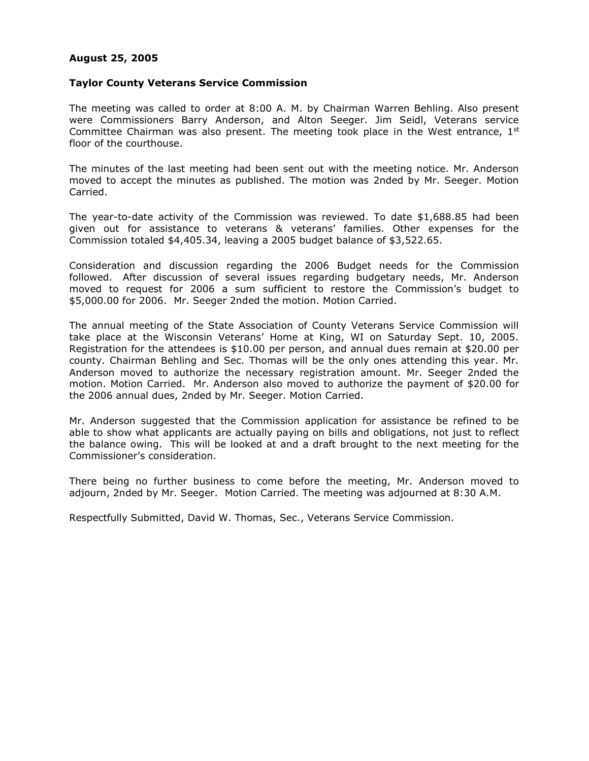# **August 25, 2005**

### **Taylor County Veterans Service Commission**

The meeting was called to order at 8:00 A. M. by Chairman Warren Behling. Also present were Commissioners Barry Anderson, and Alton Seeger. Jim Seidl, Veterans service Committee Chairman was also present. The meeting took place in the West entrance,  $1<sup>st</sup>$ floor of the courthouse.

The minutes of the last meeting had been sent out with the meeting notice. Mr. Anderson moved to accept the minutes as published. The motion was 2nded by Mr. Seeger. Motion Carried.

The year-to-date activity of the Commission was reviewed. To date \$1,688.85 had been given out for assistance to veterans & veterans' families. Other expenses for the Commission totaled \$4,405.34, leaving a 2005 budget balance of \$3,522.65.

Consideration and discussion regarding the 2006 Budget needs for the Commission followed. After discussion of several issues regarding budgetary needs, Mr. Anderson moved to request for 2006 a sum sufficient to restore the Commission's budget to \$5,000.00 for 2006. Mr. Seeger 2nded the motion. Motion Carried.

The annual meeting of the State Association of County Veterans Service Commission will take place at the Wisconsin Veterans' Home at King, WI on Saturday Sept. 10, 2005. Registration for the attendees is \$10.00 per person, and annual dues remain at \$20.00 per county. Chairman Behling and Sec. Thomas will be the only ones attending this year. Mr. Anderson moved to authorize the necessary registration amount. Mr. Seeger 2nded the motion. Motion Carried. Mr. Anderson also moved to authorize the payment of \$20.00 for the 2006 annual dues, 2nded by Mr. Seeger. Motion Carried.

Mr. Anderson suggested that the Commission application for assistance be refined to be able to show what applicants are actually paying on bills and obligations, not just to reflect the balance owing. This will be looked at and a draft brought to the next meeting for the Commissioner's consideration.

There being no further business to come before the meeting, Mr. Anderson moved to adjourn, 2nded by Mr. Seeger. Motion Carried. The meeting was adjourned at 8:30 A.M.

Respectfully Submitted, David W. Thomas, Sec., Veterans Service Commission.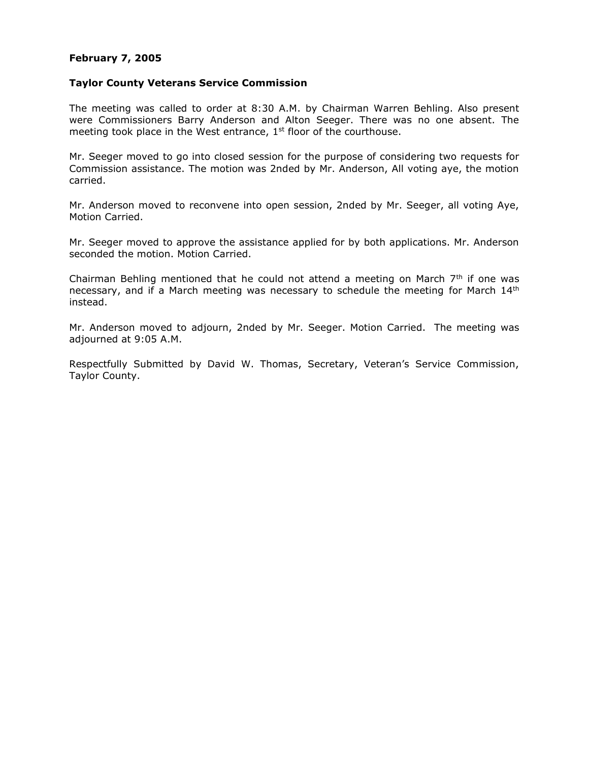# **February 7, 2005**

### **Taylor County Veterans Service Commission**

The meeting was called to order at 8:30 A.M. by Chairman Warren Behling. Also present were Commissioners Barry Anderson and Alton Seeger. There was no one absent. The meeting took place in the West entrance,  $1<sup>st</sup>$  floor of the courthouse.

Mr. Seeger moved to go into closed session for the purpose of considering two requests for Commission assistance. The motion was 2nded by Mr. Anderson, All voting aye, the motion carried.

Mr. Anderson moved to reconvene into open session, 2nded by Mr. Seeger, all voting Aye, Motion Carried.

Mr. Seeger moved to approve the assistance applied for by both applications. Mr. Anderson seconded the motion. Motion Carried.

Chairman Behling mentioned that he could not attend a meeting on March  $7<sup>th</sup>$  if one was necessary, and if a March meeting was necessary to schedule the meeting for March 14<sup>th</sup> instead.

Mr. Anderson moved to adjourn, 2nded by Mr. Seeger. Motion Carried. The meeting was adjourned at 9:05 A.M.

Respectfully Submitted by David W. Thomas, Secretary, Veteran's Service Commission, Taylor County.